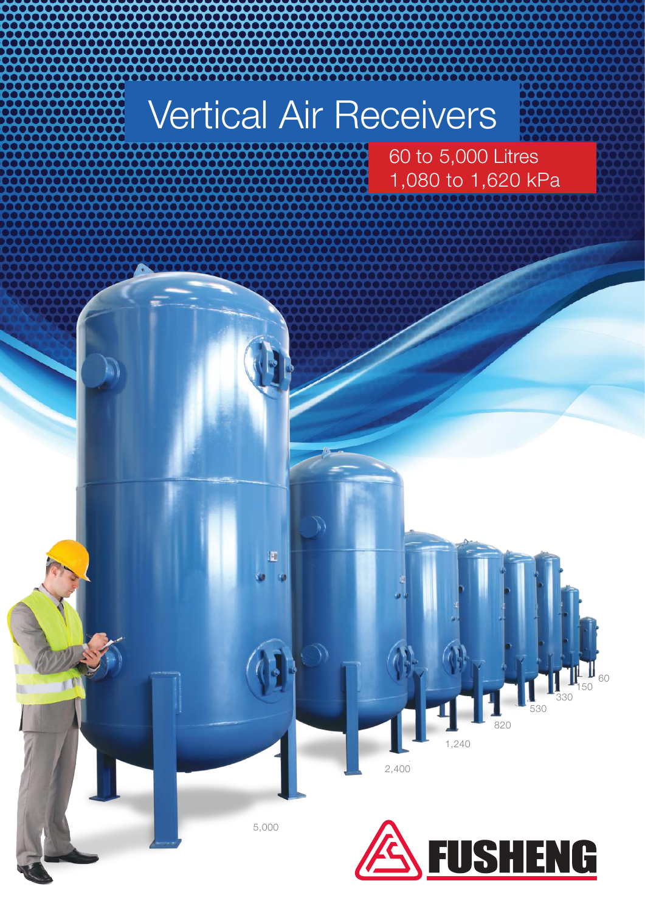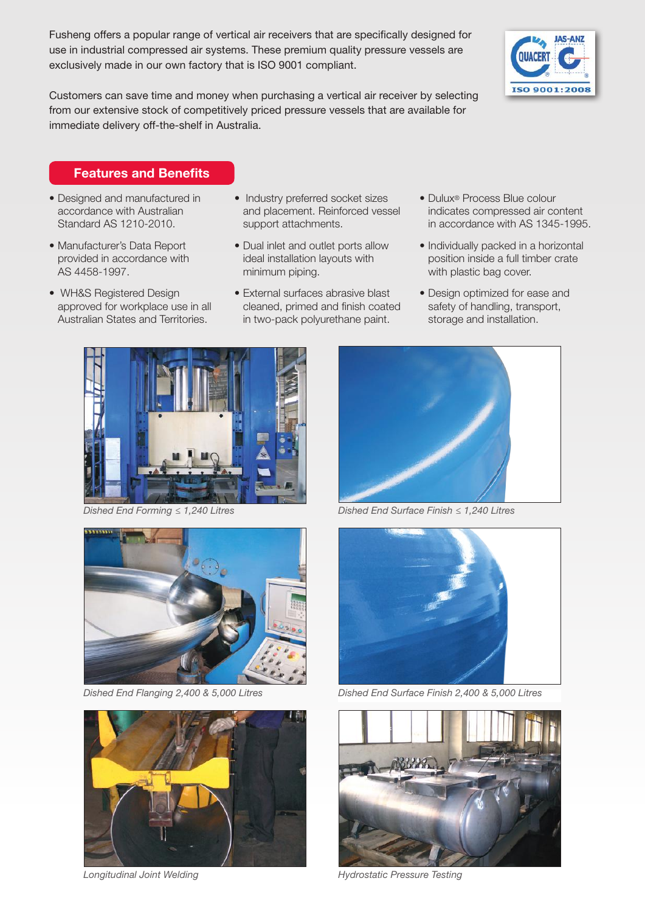Fusheng offers a popular range of vertical air receivers that are specifically designed for use in industrial compressed air systems. These premium quality pressure vessels are exclusively made in our own factory that is ISO 9001 compliant.



Customers can save time and money when purchasing a vertical air receiver by selecting from our extensive stock of competitively priced pressure vessels that are available for immediate delivery off-the-shelf in Australia.

## Features and Benefits

- Designed and manufactured in accordance with Australian Standard AS 1210-2010.
- Manufacturer's Data Report provided in accordance with AS 4458-1997.
- WH&S Registered Design approved for workplace use in all Australian States and Territories.
- Industry preferred socket sizes and placement. Reinforced vessel support attachments.
- Dual inlet and outlet ports allow ideal installation layouts with minimum piping.
- External surfaces abrasive blast cleaned, primed and finish coated in two-pack polyurethane paint.
- Dulux® Process Blue colour indicates compressed air content in accordance with AS 1345-1995.
- Individually packed in a horizontal position inside a full timber crate with plastic bag cover.
- Design optimized for ease and safety of handling, transport, storage and installation.









*Dished End Forming ≤ 1,240 Litres Dished End Surface Finish ≤ 1,240 Litres*



*Dished End Flanging 2,400 & 5,000 Litres Dished End Surface Finish 2,400 & 5,000 Litres*



*Longitudinal Joint Welding Hydrostatic Pressure Testing*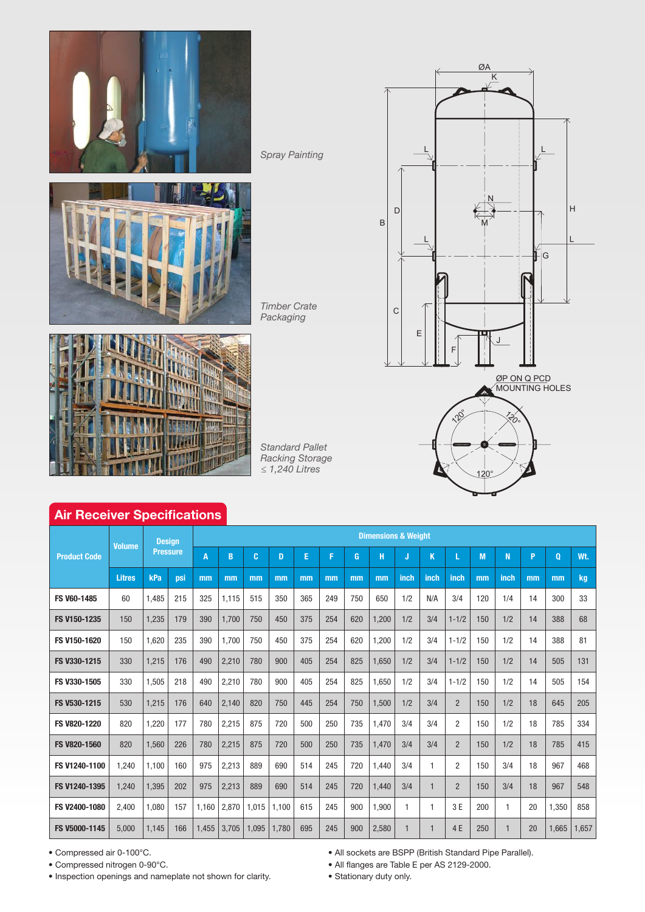

*Spray Painting*

*Timber Crate Packaging*



*Standard Pallet Racking Storage ≤ 1,240 Litres*



## Air Receiver Specifications

| <b>Product Code</b> | <b>Volume</b> | <b>Design</b><br><b>Pressure</b> |     | <b>Dimensions &amp; Weight</b> |       |       |       |     |     |     |       |              |                |                |     |                |          |          |       |
|---------------------|---------------|----------------------------------|-----|--------------------------------|-------|-------|-------|-----|-----|-----|-------|--------------|----------------|----------------|-----|----------------|----------|----------|-------|
|                     |               |                                  |     | $\overline{A}$                 | B     | C     | D     | E   | F   | G   | н     | J            | K              |                | M   | N              | <b>P</b> | $\bf{0}$ | Wt.   |
|                     | <b>Litres</b> | kPa                              | psi | mm                             | mm    | mm    | mm    | mm  | mm  | mm  | mm    | inch         | inch           | inch           | mm  | inch           | mm       | mm       | kg    |
| FS V60-1485         | 60            | 1,485                            | 215 | 325                            | 1,115 | 515   | 350   | 365 | 249 | 750 | 650   | 1/2          | N/A            | 3/4            | 120 | 1/4            | 14       | 300      | 33    |
| FS V150-1235        | 150           | 1,235                            | 179 | 390                            | 1.700 | 750   | 450   | 375 | 254 | 620 | 1.200 | 1/2          | 3/4            | $1 - 1/2$      | 150 | 1/2            | 14       | 388      | 68    |
| FS V150-1620        | 150           | 1,620                            | 235 | 390                            | 1,700 | 750   | 450   | 375 | 254 | 620 | 1,200 | 1/2          | 3/4            | $1 - 1/2$      | 150 | 1/2            | 14       | 388      | 81    |
| FS V330-1215        | 330           | 1,215                            | 176 | 490                            | 2,210 | 780   | 900   | 405 | 254 | 825 | 1,650 | 1/2          | 3/4            | $1 - 1/2$      | 150 | 1/2            | 14       | 505      | 131   |
| FS V330-1505        | 330           | 1,505                            | 218 | 490                            | 2,210 | 780   | 900   | 405 | 254 | 825 | 1,650 | 1/2          | 3/4            | $1 - 1/2$      | 150 | 1/2            | 14       | 505      | 154   |
| FS V530-1215        | 530           | 1,215                            | 176 | 640                            | 2,140 | 820   | 750   | 445 | 254 | 750 | 1.500 | 1/2          | 3/4            | $\overline{2}$ | 150 | 1/2            | 18       | 645      | 205   |
| FS V820-1220        | 820           | 1,220                            | 177 | 780                            | 2,215 | 875   | 720   | 500 | 250 | 735 | 1,470 | 3/4          | 3/4            | $\overline{2}$ | 150 | 1/2            | 18       | 785      | 334   |
| FS V820-1560        | 820           | 1.560                            | 226 | 780                            | 2,215 | 875   | 720   | 500 | 250 | 735 | 1.470 | 3/4          | 3/4            | $\overline{2}$ | 150 | 1/2            | 18       | 785      | 415   |
| FS V1240-1100       | 1,240         | 1.100                            | 160 | 975                            | 2,213 | 889   | 690   | 514 | 245 | 720 | 1,440 | 3/4          | $\mathbf{1}$   | $\overline{2}$ | 150 | 3/4            | 18       | 967      | 468   |
| FS V1240-1395       | 1,240         | 1,395                            | 202 | 975                            | 2,213 | 889   | 690   | 514 | 245 | 720 | 1.440 | 3/4          | $\mathbf{1}$   | $\overline{2}$ | 150 | 3/4            | 18       | 967      | 548   |
| FS V2400-1080       | 2,400         | 1,080                            | 157 | 1,160                          | 2,870 | 1,015 | 1,100 | 615 | 245 | 900 | 1,900 | $\mathbf{1}$ | $\mathbf{1}$   | 3 E            | 200 | $\overline{1}$ | 20       | 1,350    | 858   |
| FS V5000-1145       | 5,000         | 1,145                            | 166 | 1,455                          | 3,705 | 1,095 | 1,780 | 695 | 245 | 900 | 2,580 | 1            | $\overline{1}$ | 4 E            | 250 | $\mathbf{1}$   | 20       | 1,665    | 1,657 |

• Compressed air 0-100°C.

• Compressed nitrogen 0-90°C.

• Inspection openings and nameplate not shown for clarity.

• All sockets are BSPP (British Standard Pipe Parallel).

• All flanges are Table E per AS 2129-2000.

• Stationary duty only.